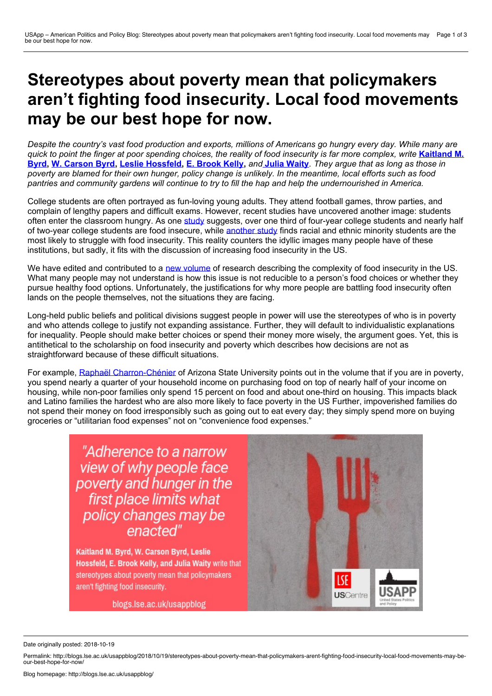# **Stereotypes about poverty mean that policymakers aren't fighting food insecurity. Local food movements may be our best hope for now.**

Despite the country's vast food production and exports, millions of Americans go hungry every day. While many are quick to point the finger at poor spending choices, the reality of food insecurity is far more complex, write Kaitland M. Byrd, W. [Carson](https://wp.me/p3I2YF-8ee#Author) Byrd, Leslie [Hossfeld,](https://wp.me/p3I2YF-8ee#Author) E. [Brook](https://wp.me/p3I2YF-8ee#Author) Kelly, and Julia [Waity](https://wp.me/p3I2YF-8ee#Author). They argue that as long as those in poverty are blamed for their own hunger, policy change is unlikely. In the meantime, local efforts such as food pantries and community gardens will continue to try to fill the hap and help the undernourished in America.

College students are often portrayed as fun-loving young adults. They attend football games, throw parties, and complain of lengthy papers and difficult exams. However, recent studies have uncovered another image: students often enter the classroom hungry. As one [study](https://www.insidehighered.com/news/2018/04/04/students-access-food-still-problem-college-campuses-study-shows) suggests, over one third of four-year college students and nearly half of two-year college students are food insecure, while [another](http://journals.sagepub.com/doi/abs/10.3102/0013189X17752928?casa_token=ZFUG2evoccgAAAAA:dTtT-d1Tql9cBVrOSELOfeMoTLY73I5MOFZo94XHB-dPiVMJZ__VOtUMfZ-hfJGydQcs8IGXeuIRzw) study finds racial and ethnic minority students are the most likely to struggle with food insecurity. This reality counters the idyllic images many people have of these

institutions, but sadly, it fits with the discussion of increasing food insecurity in the US.<br>We have edited and contributed to a new volume of research describing the complexity of food insecurity in the US. What many people may not understand is how this issue is not reducible to a person's food choices or whether they pursue healthy food options. Unfortunately, the justifications for why more people are battling food insecurity often lands on the people themselves, not the situations they are facing.

Long-held public beliefs and political divisions suggest people in power will use the stereotypes of who is in poverty and who attends college to justify not expanding assistance. Further, they will default to individualistic explanations for inequality. People should make better choices or spend their money more wisely, the argument goes. Yet, this is antithetical to the scholarship on food insecurity and poverty which describes how decisions are not as straightforward because of these difficult situations.

For example, Raphaël [Charron-Chénier](https://isearch.asu.edu/profile/3196667) of Arizona State University points out in the volume that if you are in poverty, you spend nearly a quarter of your household income on purchasing food on top of nearly half of your income on housing, while non-poor families only spend 15 percent on food and about one-third on housing. This impacts black and Latino families the hardest who are also more likely to face poverty in the US Further, impoverished families do not spend their money on food irresponsibly such as going out to eat every day; they simply spend more on buying groceries or "utilitarian food expenses" not on "convenience food expenses."

> "Adherence to a narrow view of why people face<br>poverty and hunger in the first place limits what policy changes may be enacted"

Kaitland M. Byrd, W. Carson Byrd, Leslie Hossfeld, E. Brook Kelly, and Julia Waity write that stereotypes about poverty mean that policymakers aren't fighting food insecurity.

blogs.lse.ac.uk/usappblog



Date originally posted: 2018-10-19

Permalink: http://blogs.lse.ac.uk/usappblog/2018/10/19/stereotypes-about-poverty-mean-that-policymakers-arent-fighting-food-insecurity-local-food-movements-may-be- our-best-hope-for-now/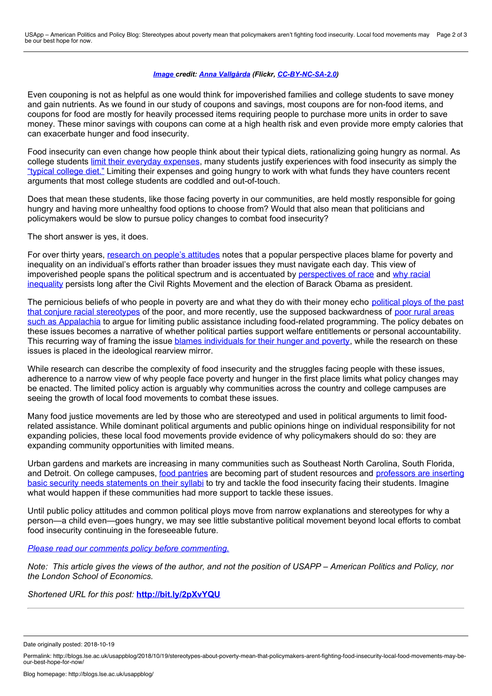#### *[Image](https://www.flickr.com/photos/akav/31886442) credit: Anna [Vallgårda](https://www.flickr.com/photos/akav/) (Flickr, [CC-BY-NC-SA-2.0\)](https://creativecommons.org/licenses/by-nc-sa/2.0/)*

Even couponing is not as helpful as one would think for impoverished families and college students to save money and gain nutrients. As we found in our study of coupons and savings, most coupons are for non-food items, and coupons for food are mostly for heavily processed items requiring people to purchase more units in order to save money. These minor savings with coupons can come at a high health risk and even provide more empty calories that can exacerbate hunger and food insecurity.

Food insecurity can even change how people think about their typical diets, rationalizing going hungry as normal. As college students limit their everyday [expenses,](https://press.uchicago.edu/ucp/books/book/chicago/P/bo24663096.html) many students justify experiences with food insecurity as simply the ["typical](https://onlinelibrary.wiley.com/doi/abs/10.1002/symb.280) college diet." Limiting their expenses and going hungry to work with what funds they have counters recent arguments that most college students are coddled and out-of-touch.

Does that mean these students, like those facing poverty in our communities, are held mostly responsible for going hungry and having more unhealthy food options to choose from? Would that also mean that politicians and policymakers would be slow to pursue policy changes to combat food insecurity?

The short answer is yes, it does.

For over thirty years, [research](https://press.princeton.edu/titles/9910.html) on people's attitudes notes that a popular perspective places blame for poverty and inequality on an individual's efforts rather than broader issues they must navigate each day. This view of [impoverished](http://journals.sagepub.com/doi/10.1177/0002716210390288) people spans the political spectrum and is accentuated by [perspectives](http://journals.sagepub.com/doi/abs/10.1177/000312240707200304) of race and why racial inequality persists long after the Civil Rights Movement and the election of Barack Obama as president.

The pernicious beliefs of who people in poverty are and what they do with their money echo political ploys of the past that conjure racial stereotypes of the poor, and more recently, use the supposed [backwardness](https://nyupress.org/books/9780814760543/) of poor rural areas such as Appalachia to argue for limiting public assistance including food-related programming. The policy debates on these issues becomes a narrative of whether political parties support welfare entitlements or personal accountability. This recurring way of framing the issue blames [individuals](https://press.princeton.edu/titles/7077.html) for their hunger and poverty, while the research on these issues is placed in the ideological rearview mirror.

While research can describe the complexity of food insecurity and the struggles facing people with these issues, adherence to a narrow view of why people face poverty and hunger in the first place limits what policy changes may be enacted. The limited policy action is arguably why communities across the country and college campuses are seeing the growth of local food movements to combat these issues.

Many food justice movements are led by those who are stereotyped and used in political arguments to limit foodrelated assistance. While dominant political arguments and public opinions hinge on individual responsibility for not expanding policies, these local food movements provide evidence of why policymakers should do so: they are expanding community opportunities with limited means.

Urban gardens and markets are increasing in many communities such as Southeast North Carolina, South Florida, and Detroit. On college campuses, food [pantries](https://sites.temple.edu/cufba/) are becoming part of student resources and professors are inserting basic security needs [statements](https://medium.com/@saragoldrickrab/basic-needs-security-and-the-syllabus-d24cc7afe8c9) on their syllabi to try and tackle the food insecurity facing their students. Imagine what would happen if these communities had more support to tackle these issues.

Until public policy attitudes and common political ploys move from narrow explanations and stereotypes for why a person—a child even—goes hungry, we may see little substantive political movement beyond local efforts to combat food insecurity continuing in the foreseeable future.

#### *Please read our comments policy before [commenting.](http://blogs.lse.ac.uk/usappblog/comments-policy/)*

Note: This article gives the views of the author, and not the position of USAPP – American Politics and Policy, nor *the London School of Economics.*

*Shortened URL for this post:* **<http://bit.ly/2pXvYQU>**

Date originally posted: 2018-10-19

Permalink: http://blogs.lse.ac.uk/usappblog/2018/10/19/stereotypes-about-poverty-mean-that-policymakers-arent-fighting-food-insecurity-local-food-movements-may-be- our-best-hope-for-now/